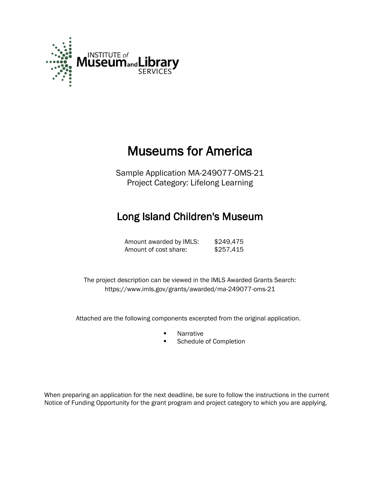

# Museums for America

Sample Application MA-249077-OMS-21 Project Category: Lifelong Learning

# Long Island Children's Museum

Amount awarded by IMLS: \$249,475 Amount of cost share: \$257,415

 The project description can be viewed in the IMLS Awarded Grants Search: <https://www.imls.gov/grants/awarded/ma-249077-oms-21>

Attached are the following components excerpted from the original application.

- **Narrative**
- Schedule of Completion

When preparing an application for the next deadline, be sure to follow the instructions in the current Notice of Funding Opportunity for the grant program and project category to which you are applying.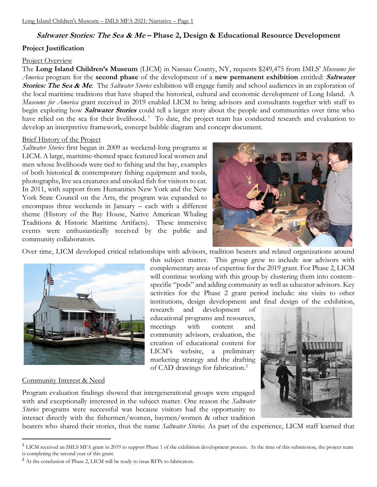# **Saltwater Stories: The Sea & Me – Phase 2, Design & Educational Resource Development**

### **Project Justification**

#### Project Overview

The **Long Island Children's Museum** (LICM) in Nassau County, NY, requests \$249,475 from IMLS' *Museums for America* program for the **second phase** of the development of a **new permanent exhibition** entitled: **Saltwater Stories: The Sea & Me***.* The *Saltwater Stories* exhibition will engage family and school audiences in an exploration of the local maritime traditions that have shaped the historical, cultural and economic development of Long Island. A *Museums for America* grant received in 2019 enabled LICM to bring advisors and consultants together with staff to begin exploring how **Saltwater Stories** could tell a larger story about the people and communities over time who have relied on the sea for their livelihood.<sup>1</sup> To date, the project team has conducted research and evaluation to develop an interpretive framework, concept bubble diagram and concept document.

#### Brief History of the Project

*Saltwater Stories* first began in 2009 as weekend-long programs at LICM. A large, maritime-themed space featured local women and men whose livelihoods were tied to fishing and the bay, examples of both historical & contemporary fishing equipment and tools, photographs, live sea creatures and smoked fish for visitors to eat. In 2011, with support from Humanities New York and the New York State Council on the Arts, the program was expanded to encompass three weekends in January – each with a different theme (History of the Bay House, Native American Whaling Traditions & Historic Maritime Artifacts). These immersive events were enthusiastically received by the public and community collaborators.



Over time, LICM developed critical relationships with advisors, tradition bearers and related organizations around



this subject matter. This group grew to include *new* advisors with complementary areas of expertise for the 2019 grant. For Phase 2, LICM will continue working with this group by clustering them into contentspecific "pods" and adding community as well as educator advisors. Key activities for the Phase 2 grant period include: site visits to other institutions, design development and final design of the exhibition,

research and development of educational programs and resources, meetings with content and community advisors, evaluation, the creation of educational content for LICM's website, a preliminary marketing strategy and the drafting of CAD drawings for fabrication.<sup>2</sup>

#### Community Interest & Need

Program evaluation findings showed that intergenerational groups were engaged with and exceptionally interested in the subject matter. One reason the *Saltwater Stories* programs were successful was because visitors had the opportunity to interact directly with the fishermen/women, baymen/women & other tradition

bearers who shared their stories, thus the name *Saltwater Stories*. As part of the experience, LICM staff learned that

<sup>&</sup>lt;sup>1</sup> LICM received an IMLS MFA grant in 2019 to support Phase 1 of the exhibition development process. At the time of this submission, the project team is completing the second year of this grant.

<sup>&</sup>lt;sup>2</sup> At the conclusion of Phase 2, LICM will be ready to issue RFPs to fabricators.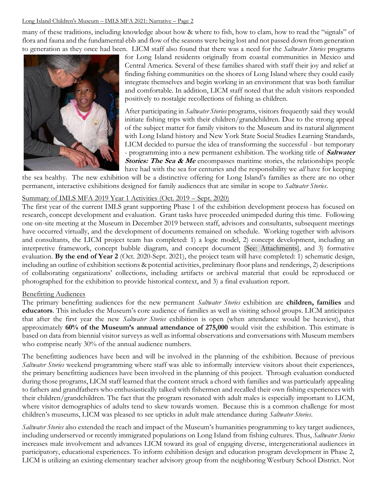many of these traditions, including knowledge about how & where to fish, how to clam, how to read the "signals" of flora and fauna and the fundamental ebb and flow of the seasons were being lost and not passed down from generation to generation as they once had been. LICM staff also found that there was a need for the *Saltwater Stories* programs



for Long Island residents originally from coastal communities in Mexico and Central America. Several of these families shared with staff their joy and relief at finding fishing communities on the shores of Long Island where they could easily integrate themselves and begin working in an environment that was both familiar and comfortable. In addition, LICM staff noted that the adult visitors responded positively to nostalgic recollections of fishing as children.

After participating in *Saltwater Stories* programs, visitors frequently said they would initiate fishing trips with their children/grandchildren. Due to the strong appeal of the subject matter for family visitors to the Museum and its natural alignment with Long Island history and New York State Social Studies Learning Standards, LICM decided to pursue the idea of transforming the successful - but temporary - programming into a new permanent exhibition. The working title of **Saltwater Stories: The Sea & Me** encompasses maritime stories, the relationships people have had with the sea for centuries and the responsibility we *all* have for keeping

the sea healthy. The new exhibition will be a distinctive offering for Long Island's families as there are no other permanent, interactive exhibitions designed for family audiences that are similar in scope to *Saltwater Stories*.

#### Summary of IMLS MFA 2019 Year 1 Activities (Oct. 2019 – Sept. 2020)

The first year of the current IMLS grant supporting Phase 1 of the exhibition development process has focused on research, concept development and evaluation. Grant tasks have proceeded unimpeded during this time. Following one on-site meeting at the Museum in December 2019 between staff, advisors and consultants, subsequent meetings have occurred virtually, and the development of documents remained on schedule. Working together with advisors and consultants, the LICM project team has completed: 1) a logic model, 2) concept development, including an interpretive framework, concept bubble diagram, and concept document [See: Attachments], and 3) formative evaluation. **By the end of Year 2** (Oct. 2020-Sept. 2021), the project team will have completed: 1) schematic design, including an outline of exhibition sections & potential activities, preliminary floor plans and renderings, 2) descriptions of collaborating organizations' collections, including artifacts or archival material that could be reproduced or photographed for the exhibition to provide historical context, and 3) a final evaluation report.

### Benefitting Audiences

The primary benefitting audiences for the new permanent *Saltwater Stories* exhibition are **children, families** and **educators**. This includes the Museum's core audience of families as well as visiting school groups. LICM anticipates that after the first year the new *Saltwater Stories* exhibition is open (when attendance would be heaviest), that approximately **60% of the Museum's annual attendance of 275,000** would visit the exhibition. This estimate is based on data from biennial visitor surveys as well as informal observations and conversations with Museum members who comprise nearly 30% of the annual audience numbers.

The benefitting audiences have been and will be involved in the planning of the exhibition. Because of previous *Saltwater Stories* weekend programming where staff was able to informally interview visitors about their experiences, the primary benefitting audiences have been involved in the planning of this project. Through evaluation conducted during those programs, LICM staff learned that the content struck a chord with families and was particularly appealing to fathers and grandfathers who enthusiastically talked with fishermen and recalled their own fishing experiences with their children/grandchildren. The fact that the program resonated with adult males is especially important to LICM, where visitor demographics of adults tend to skew towards women. Because this is a common challenge for most children's museums, LICM was pleased to see upticks in adult male attendance during *Saltwater Stories*.

*Saltwater Stories* also extended the reach and impact of the Museum's humanities programming to key target audiences, including underserved or recently immigrated populations on Long Island from fishing cultures. Thus, *Saltwater Stories* increases male involvement and advances LICM toward its goal of engaging diverse, intergenerational audiences in participatory, educational experiences. To inform exhibition design and education program development in Phase 2, LICM is utilizing an existing elementary teacher advisory group from the neighboring Westbury School District. Not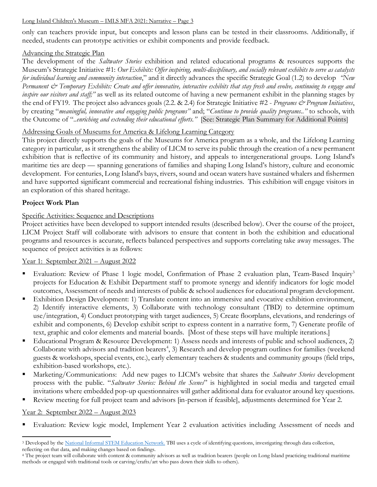only can teachers provide input, but concepts and lesson plans can be tested in their classrooms. Additionally, if needed, students can prototype activities or exhibit components and provide feedback.

# Advancing the Strategic Plan

The development of the *Saltwater Stories* exhibition and related educational programs & resources supports the Museum's Strategic Initiative #1: *Our Exhibits: Offer inspiring, multi-disciplinary, and socially relevant exhibits to serve as catalysts for individual learning and community interaction*," and it directly advances the specific Strategic Goal (1.2) to develop *"New Permanent & Temporary Exhibits: Create and offer innovative, interactive exhibits that stay fresh and evolve, continuing to engage and inspire our visitors and staff;"* as well as its related outcome of having a new permanent exhibit in the planning stages by the end of FY19. The project also advances goals (2.2. & 2.4) for Strategic Initiative #2 - *Programs & Program Initiatives*, by creating "*meaningful, innovative and engaging public programs"* and; "*Continue to provide quality programs.."* to schools, with the Outcome of "..*enriching and extending their educational efforts."* [See: Strategic Plan Summary for Additional Points]

# Addressing Goals of Museums for America & Lifelong Learning Category

This project directly supports the goals of the Museums for America program as a whole, and the Lifelong Learning category in particular, as it strengthens the ability of LICM to serve its public through the creation of a new permanent exhibition that is reflective of its community and history, and appeals to intergenerational groups. Long Island's maritime ties are deep — spanning generations of families and shaping Long Island's history, culture and economic development. For centuries, Long Island's bays, rivers, sound and ocean waters have sustained whalers and fishermen and have supported significant commercial and recreational fishing industries. This exhibition will engage visitors in an exploration of this shared heritage.

# **Project Work Plan**

# Specific Activities: Sequence and Descriptions

Project activities have been developed to support intended results (described below). Over the course of the project, LICM Project Staff will collaborate with advisors to ensure that content in both the exhibition and educational programs and resources is accurate, reflects balanced perspectives and supports correlating take away messages. The sequence of project activities is as follows:

# Year 1: September 2021 – August 2022

- Evaluation: Review of Phase 1 logic model, Confirmation of Phase 2 evaluation plan, Team-Based Inquiry<sup>3</sup> projects for Education & Exhibit Department staff to promote synergy and identify indicators for logic model outcomes, Assessment of needs and interests of public & school audiences for educational program development.
- Exhibition Design Development: 1) Translate content into an immersive and evocative exhibition environment, 2) Identify interactive elements, 3) Collaborate with technology consultant (TBD) to determine optimum use/integration, 4) Conduct prototyping with target audiences, 5) Create floorplans, elevations, and renderings of exhibit and components, 6) Develop exhibit script to express content in a narrative form, 7) Generate profile of text, graphic and color elements and material boards. [Most of these steps will have multiple iterations.]
- Educational Program & Resource Development: 1) Assess needs and interests of public and school audiences, 2) Collaborate with advisors and tradition bearers<sup>4</sup>, 3) Research and develop program outlines for families (weekend guests & workshops, special events, etc.), early elementary teachers & students and community groups (field trips, exhibition-based workshops, etc.).
- Marketing/Communications: Add new pages to LICM's website that shares the *Saltwater Stories* development process with the public. "*Saltwater Stories: Behind the Scenes*" is highlighted in social media and targeted email invitations where embedded pop-up questionnaires will gather additional data for evaluator around key questions.
- Review meeting for full project team and advisors [in-person if feasible], adjustments determined for Year 2.

# Year 2: September 2022 – August 2023

Evaluation: Review logic model, Implement Year 2 evaluation activities including Assessment of needs and

<sup>&</sup>lt;sup>3</sup> Developed by th[e National Informal STEM Education Network.](https://www.nisenet.org/catalog/team-based-inquiry-guide) TBI uses a cycle of identifying questions, investigating through data collection, reflecting on that data, and making changes based on findings.

<sup>4</sup> The project team will collaborate with content & community advisors as well as tradition bearers (people on Long Island practicing traditional maritime methods or engaged with traditional tools or carving/crafts/art who pass down their skills to others).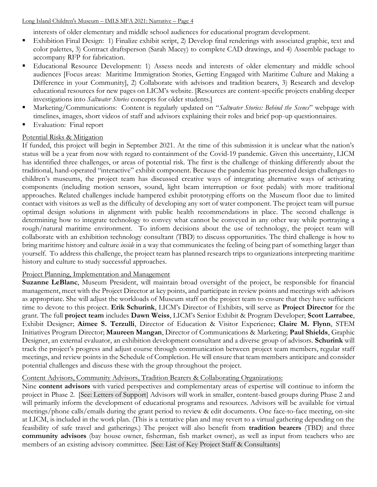interests of older elementary and middle school audiences for educational program development.

- Exhibition Final Design: 1) Finalize exhibit script, 2) Develop final renderings with associated graphic, text and color palettes, 3) Contract draftsperson (Sarah Macey) to complete CAD drawings, and 4) Assemble package to accompany RFP for fabrication.
- **Educational Resource Development:** 1) Assess needs and interests of older elementary and middle school audiences [Focus areas: Maritime Immigration Stories, Getting Engaged with Maritime Culture and Making a Difference in your Community], 2) Collaborate with advisors and tradition bearers, 3) Research and develop educational resources for new pages on LICM's website. [Resources are content-specific projects enabling deeper investigations into *Saltwater Stories* concepts for older students.]
- Marketing/Communications: Content is regularly updated on "*Saltwater Stories: Behind the Scenes*" webpage with timelines, images, short videos of staff and advisors explaining their roles and brief pop-up questionnaires.
- Evaluation: Final report

## Potential Risks & Mitigation

If funded, this project will begin in September 2021. At the time of this submission it is unclear what the nation's status will be a year from now with regard to containment of the Covid-19 pandemic. Given this uncertainty, LICM has identified three challenges, or areas of potential risk. The first is the challenge of thinking differently about the traditional, hand-operated "interactive" exhibit component. Because the pandemic has presented design challenges to children's museums, the project team has discussed creative ways of integrating alternative ways of activating components (including motion sensors, sound, light beam interruption or foot pedals) with more traditional approaches. Related challenges include hampered exhibit prototyping efforts on the Museum floor due to limited contact with visitors as well as the difficulty of developing any sort of water component. The project team will pursue optimal design solutions in alignment with public health recommendations in place. The second challenge is determining how to integrate technology to convey what cannot be conveyed in any other way while portraying a rough/natural maritime environment. To inform decisions about the use of technology, the project team will collaborate with an exhibition technology consultant (TBD) to discuss opportunities. The third challenge is how to bring maritime history and culture *inside* in a way that communicates the feeling of being part of something larger than yourself. To address this challenge, the project team has planned research trips to organizations interpreting maritime history and culture to study successful approaches.

# Project Planning, Implementation and Management

**Suzanne LeBlanc**, Museum President, will maintain broad oversight of the project, be responsible for financial management, meet with the Project Director at key points, and participate in review points and meetings with advisors as appropriate. She will adjust the workloads of Museum staff on the project team to ensure that they have sufficient time to devote to this project. **Erik Schurink**, LICM's Director of Exhibits, will serve as **Project Director** for the grant. The full **project team** includes **Dawn Weiss**, LICM's Senior Exhibit & Program Developer; **Scott Larrabee**, Exhibit Designer; **Aimee S. Terzulli**, Director of Education & Visitor Experience; **Claire M. Flynn**, STEM Initiatives Program Director; **Maureen Mangan**, Director of Communications & Marketing; **Paul Shields**, Graphic Designer, an external evaluator, an exhibition development consultant and a diverse group of advisors. **Schurink** will track the project's progress and adjust course through communication between project team members, regular staff meetings, and review points in the Schedule of Completion. He will ensure that team members anticipate and consider potential challenges and discuss these with the group throughout the project.

# Content Advisors, Community Advisors, Tradition Bearers & Collaborating Organizations:

Nine **content advisors** with varied perspectives and complementary areas of expertise will continue to inform the project in Phase 2. [See: Letters of Support] Advisors will work in smaller, content-based groups during Phase 2 and will primarily inform the development of educational programs and resources. Advisors will be available for virtual meetings/phone calls/emails during the grant period to review & edit documents*.* One face-to-face meeting, on-site at LICM, is included in the work plan. (This is a tentative plan and may revert to a virtual gathering depending on the feasibility of safe travel and gatherings.) The project will also benefit from **tradition bearers** (TBD) and three **community advisors** (bay house owner, fisherman, fish market owner), as well as input from teachers who are members of an existing advisory committee. [See: List of Key Project Staff & Consultants]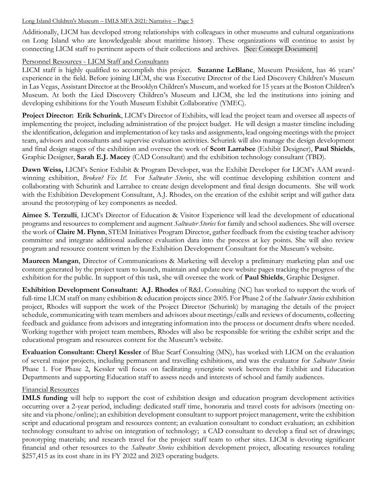Additionally, LICM has developed strong relationships with colleagues in other museums and cultural organizations on Long Island who are knowledgeable about maritime history. These organizations will continue to assist by connecting LICM staff to pertinent aspects of their collections and archives. [See: Concept Document]

# Personnel Resources - LICM Staff and Consultants

LICM staff is highly qualified to accomplish this project. **Suzanne LeBlanc**, Museum President, has 46 years' experience in the field. Before joining LICM, she was Executive Director of the Lied Discovery Children's Museum in Las Vegas, Assistant Director at the Brooklyn Children's Museum, and worked for 15 years at the Boston Children's Museum. At both the Lied Discovery Children's Museum and LICM, she led the institutions into joining and developing exhibitions for the Youth Museum Exhibit Collaborative (YMEC).

**Project Director: Erik Schurink**, LICM's Director of Exhibits, will lead the project team and oversee all aspects of implementing the project, including administration of the project budget. He will design a master timeline including the identification, delegation and implementation of key tasks and assignments, lead ongoing meetings with the project team, advisors and consultants and supervise evaluation activities. Schurink will also manage the design development and final design stages of the exhibition and oversee the work of **Scott Larrabee** (Exhibit Designer), **Paul Shields**, Graphic Designer, **Sarah E.J. Macey** (CAD Consultant) and the exhibition technology consultant (TBD).

**Dawn Weiss,** LICM's Senior Exhibit & Program Developer, was the Exhibit Developer for LICM's AAM awardwinning exhibition, *Broken? Fix It!.* For *Saltwater Stories*, she will continue developing exhibition content and collaborating with Schurink and Larrabee to create design development and final design documents. She will work with the Exhibition Development Consultant, A.J. Rhodes, on the creation of the exhibit script and will gather data around the prototyping of key components as needed.

**Aimee S. Terzulli**, LICM's Director of Education & Visitor Experience will lead the development of educational programs and resources to complement and augment *Saltwater Stories* for family and school audiences. She will oversee the work of **Claire M. Flynn**, STEM Initiatives Program Director, gather feedback from the existing teacher advisory committee and integrate additional audience evaluation data into the process at key points. She will also review program and resource content written by the Exhibition Development Consultant for the Museum's website.

**Maureen Mangan**, Director of Communications & Marketing will develop a preliminary marketing plan and use content generated by the project team to launch, maintain and update new website pages tracking the progress of the exhibition for the public. In support of this task, she will oversee the work of **Paul Shields**, Graphic Designer.

**Exhibition Development Consultant: A.J. Rhodes** of R&L Consulting (NC) has worked to support the work of full-time LICM staff on many exhibition & education projects since 2005. For Phase 2 of the *Saltwater Stories* exhibition project, Rhodes will support the work of the Project Director (Schurink) by managing the details of the project schedule, communicating with team members and advisors about meetings/calls and reviews of documents, collecting feedback and guidance from advisors and integrating information into the process or document drafts where needed. Working together with project team members, Rhodes will also be responsible for writing the exhibit script and the educational program and resources content for the Museum's website.

**Evaluation Consultant: Cheryl Kessler** of Blue Scarf Consulting (MN), has worked with LICM on the evaluation of several major projects, including permanent and travelling exhibitions, and was the evaluator for *Saltwater Stories* Phase 1. For Phase 2, Kessler will focus on facilitating synergistic work between the Exhibit and Education Departments and supporting Education staff to assess needs and interests of school and family audiences.

#### Financial Resources

**IMLS funding** will help to support the cost of exhibition design and education program development activities occurring over a 2-year period, including: dedicated staff time, honoraria and travel costs for advisors (meeting onsite and via phone/online); an exhibition development consultant to support project management, write the exhibition script and educational program and resources content; an evaluation consultant to conduct evaluation; an exhibition technology consultant to advise on integration of technology; a CAD consultant to develop a final set of drawings; prototyping materials; and research travel for the project staff team to other sites. LICM is devoting significant financial and other resources to the *Saltwater Stories* exhibition development project, allocating resources totaling \$257,415 as its cost share in its FY 2022 and 2023 operating budgets.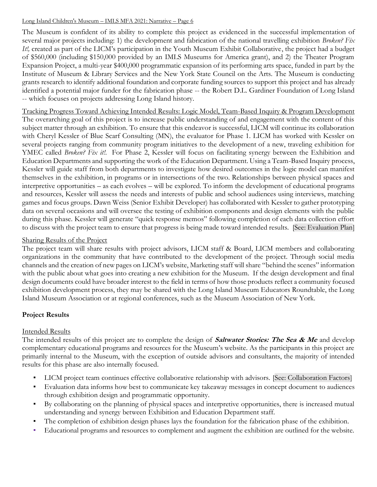The Museum is confident of its ability to complete this project as evidenced in the successful implementation of several major projects including: 1) the development and fabrication of the national travelling exhibition *Broken? Fix It!,* created as part of the LICM's participation in the Youth Museum Exhibit Collaborative, the project had a budget of \$560,000 (including \$150,000 provided by an IMLS Museums for America grant), and 2) the Theater Program Expansion Project, a multi-year \$400,000 programmatic expansion of its performing arts space, funded in part by the Institute of Museum & Library Services and the New York State Council on the Arts. The Museum is conducting grants research to identify additional foundation and corporate funding sources to support this project and has already identified a potential major funder for the fabrication phase -- the Robert D.L. Gardiner Foundation of Long Island -- which focuses on projects addressing Long Island history.

Tracking Progress Toward Achieving Intended Results: Logic Model, Team-Based Inquiry & Program Development The overarching goal of this project is to increase public understanding of and engagement with the content of this subject matter through an exhibition. To ensure that this endeavor is successful, LICM will continue its collaboration with Cheryl Kessler of Blue Scarf Consulting (MN), the evaluator for Phase 1. LICM has worked with Kessler on several projects ranging from community program initiatives to the development of a new, traveling exhibition for YMEC called *Broken? Fix it!.* For Phase 2, Kessler will focus on facilitating synergy between the Exhibition and Education Departments and supporting the work of the Education Department. Using a Team-Based Inquiry process, Kessler will guide staff from both departments to investigate how desired outcomes in the logic model can manifest themselves in the exhibition, in programs or in intersections of the two. Relationships between physical spaces and interpretive opportunities – as each evolves – will be explored. To inform the development of educational programs and resources, Kessler will assess the needs and interests of public and school audiences using interviews, matching games and focus groups. Dawn Weiss (Senior Exhibit Developer) has collaborated with Kessler to gather prototyping data on several occasions and will oversee the testing of exhibition components and design elements with the public during this phase. Kessler will generate "quick response memos" following completion of each data collection effort to discuss with the project team to ensure that progress is being made toward intended results. [See: Evaluation Plan]

# Sharing Results of the Project

The project team will share results with project advisors, LICM staff & Board, LICM members and collaborating organizations in the community that have contributed to the development of the project. Through social media channels and the creation of new pages on LICM's website, Marketing staff will share "behind the scenes" information with the public about what goes into creating a new exhibition for the Museum. If the design development and final design documents could have broader interest to the field in terms of how those products reflect a community focused exhibition development process, they may be shared with the Long Island Museum Educators Roundtable, the Long Island Museum Association or at regional conferences, such as the Museum Association of New York.

# **Project Results**

# Intended Results

The intended results of this project are to complete the design of **Saltwater Stories: The Sea & Me** and develop complementary educational programs and resources for the Museum's website. As the participants in this project are primarily internal to the Museum, with the exception of outside advisors and consultants, the majority of intended results for this phase are also internally focused.

- LICM project team continues effective collaborative relationship with advisors. [See: Collaboration Factors]
- Evaluation data informs how best to communicate key takeaway messages in concept document to audiences through exhibition design and programmatic opportunity.
- By collaborating on the planning of physical spaces and interpretive opportunities, there is increased mutual understanding and synergy between Exhibition and Education Department staff.
- The completion of exhibition design phases lays the foundation for the fabrication phase of the exhibition.
- Educational programs and resources to complement and augment the exhibition are outlined for the website.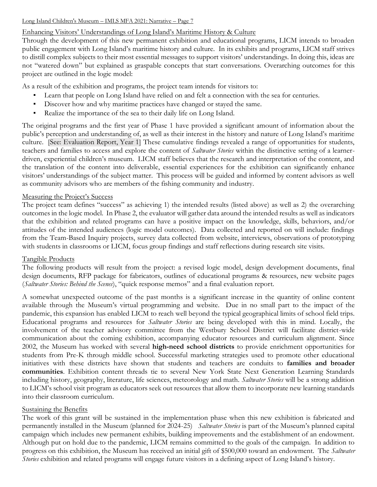# Enhancing Visitors' Understandings of Long Island's Maritime History & Culture

Through the development of this new permanent exhibition and educational programs, LICM intends to broaden public engagement with Long Island's maritime history and culture. In its exhibits and programs, LICM staff strives to distill complex subjects to their most essential messages to support visitors' understandings. In doing this, ideas are not "watered down" but explained as graspable concepts that start conversations. Overarching outcomes for this project are outlined in the logic model:

As a result of the exhibition and programs, the project team intends for visitors to:

- Learn that people on Long Island have relied on and felt a connection with the sea for centuries.
- Discover how and why maritime practices have changed or stayed the same.
- Realize the importance of the sea to their daily life on Long Island.

The original programs and the first year of Phase 1 have provided a significant amount of information about the public's perception and understanding of, as well as their interest in the history and nature of Long Island's maritime culture. [See: Evaluation Report, Year 1] These cumulative findings revealed a range of opportunities for students, teachers and families to access and explore the content of *Saltwater Stories* within the distinctive setting of a learnerdriven, experiential children's museum. LICM staff believes that the research and interpretation of the content, and the translation of the content into deliverable, essential experiences for the exhibition can significantly enhance visitors' understandings of the subject matter. This process will be guided and informed by content advisors as well as community advisors who are members of the fishing community and industry.

#### Measuring the Project's Success

The project team defines "success" as achieving 1) the intended results (listed above) as well as 2) the overarching outcomes in the logic model. In Phase 2, the evaluator will gather data around the intended results as well as indicators that the exhibition and related programs can have a positive impact on the knowledge, skills, behaviors, and/or attitudes of the intended audiences (logic model outcomes). Data collected and reported on will include: findings from the Team-Based Inquiry projects, survey data collected from website, interviews, observations of prototyping with students in classrooms or LICM, focus group findings and staff reflections during research site visits.

# Tangible Products

The following products will result from the project: a revised logic model, design development documents, final design documents, RFP package for fabricators, outlines of educational programs & resources, new website pages (*Saltwater Stories: Behind the Scenes*), "quick response memos" and a final evaluation report.

A somewhat unexpected outcome of the past months is a significant increase in the quantity of online content available through the Museum's virtual programming and website. Due in no small part to the impact of the pandemic, this expansion has enabled LICM to reach well beyond the typical geographical limits of school field trips. Educational programs and resources for *Saltwater Stories* are being developed with this in mind. Locally, the involvement of the teacher advisory committee from the Westbury School District will facilitate district-wide communication about the coming exhibition, accompanying educator resources and curriculum alignment. Since 2002, the Museum has worked with several **high-need school districts** to provide enrichment opportunities for students from Pre-K through middle school. Successful marketing strategies used to promote other educational initiatives with these districts have shown that students and teachers are conduits to **families and broader communities**. Exhibition content threads tie to several New York State Next Generation Learning Standards including history, geography, literature, life sciences, meteorology and math. *Saltwater Stories* will be a strong addition to LICM's school visit program as educators seek out resources that allow them to incorporate new learning standards into their classroom curriculum.

# Sustaining the Benefits

The work of this grant will be sustained in the implementation phase when this new exhibition is fabricated and permanently installed in the Museum (planned for 2024-25) *Saltwater Stories* is part of the Museum's planned capital campaign which includes new permanent exhibits, building improvements and the establishment of an endowment. Although put on hold due to the pandemic, LICM remains committed to the goals of the campaign. In addition to progress on this exhibition, the Museum has received an initial gift of \$500,000 toward an endowment. The *Saltwater Stories* exhibition and related programs will engage future visitors in a defining aspect of Long Island's history.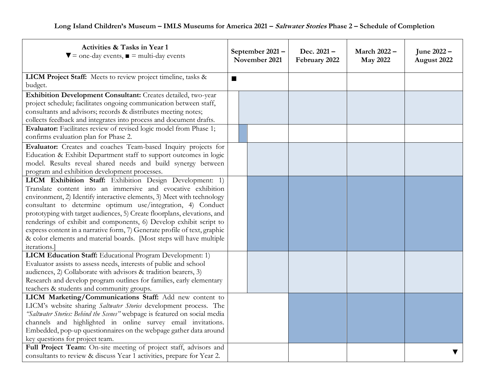| Activities & Tasks in Year 1<br>$\blacktriangledown$ = one-day events, $\blacktriangledown$ = multi-day events    | September 2021-<br>November 2021 |  | Dec. $2021 -$<br>February 2022 | March 2022 -<br><b>May 2022</b> | June 2022 -<br>August 2022 |
|-------------------------------------------------------------------------------------------------------------------|----------------------------------|--|--------------------------------|---------------------------------|----------------------------|
| LICM Project Staff: Meets to review project timeline, tasks &                                                     | ш                                |  |                                |                                 |                            |
| budget.                                                                                                           |                                  |  |                                |                                 |                            |
| Exhibition Development Consultant: Creates detailed, two-year                                                     |                                  |  |                                |                                 |                            |
| project schedule; facilitates ongoing communication between staff,                                                |                                  |  |                                |                                 |                            |
| consultants and advisors; records & distributes meeting notes;                                                    |                                  |  |                                |                                 |                            |
| collects feedback and integrates into process and document drafts.                                                |                                  |  |                                |                                 |                            |
| Evaluator: Facilitates review of revised logic model from Phase 1;                                                |                                  |  |                                |                                 |                            |
| confirms evaluation plan for Phase 2.                                                                             |                                  |  |                                |                                 |                            |
| Evaluator: Creates and coaches Team-based Inquiry projects for                                                    |                                  |  |                                |                                 |                            |
| Education & Exhibit Department staff to support outcomes in logic                                                 |                                  |  |                                |                                 |                            |
| model. Results reveal shared needs and build synergy between                                                      |                                  |  |                                |                                 |                            |
| program and exhibition development processes.                                                                     |                                  |  |                                |                                 |                            |
| LICM Exhibition Staff: Exhibition Design Development: 1)                                                          |                                  |  |                                |                                 |                            |
| Translate content into an immersive and evocative exhibition                                                      |                                  |  |                                |                                 |                            |
| environment, 2) Identify interactive elements, 3) Meet with technology                                            |                                  |  |                                |                                 |                            |
| consultant to determine optimum use/integration, 4) Conduct                                                       |                                  |  |                                |                                 |                            |
| prototyping with target audiences, 5) Create floorplans, elevations, and                                          |                                  |  |                                |                                 |                            |
| renderings of exhibit and components, 6) Develop exhibit script to                                                |                                  |  |                                |                                 |                            |
| express content in a narrative form, 7) Generate profile of text, graphic                                         |                                  |  |                                |                                 |                            |
| & color elements and material boards. [Most steps will have multiple                                              |                                  |  |                                |                                 |                            |
| iterations.                                                                                                       |                                  |  |                                |                                 |                            |
| LICM Education Staff: Educational Program Development: 1)                                                         |                                  |  |                                |                                 |                            |
| Evaluator assists to assess needs, interests of public and school                                                 |                                  |  |                                |                                 |                            |
| audiences, 2) Collaborate with advisors & tradition bearers, 3)                                                   |                                  |  |                                |                                 |                            |
| Research and develop program outlines for families, early elementary<br>teachers & students and community groups. |                                  |  |                                |                                 |                            |
| LICM Marketing/Communications Staff: Add new content to                                                           |                                  |  |                                |                                 |                            |
| LICM's website sharing Saltwater Stories development process. The                                                 |                                  |  |                                |                                 |                            |
| "Saltwater Stories: Behind the Scenes" webpage is featured on social media                                        |                                  |  |                                |                                 |                            |
| channels and highlighted in online survey email invitations.                                                      |                                  |  |                                |                                 |                            |
| Embedded, pop-up questionnaires on the webpage gather data around                                                 |                                  |  |                                |                                 |                            |
| key questions for project team.                                                                                   |                                  |  |                                |                                 |                            |
| Full Project Team: On-site meeting of project staff, advisors and                                                 |                                  |  |                                |                                 |                            |
| consultants to review & discuss Year 1 activities, prepare for Year 2.                                            |                                  |  |                                |                                 |                            |